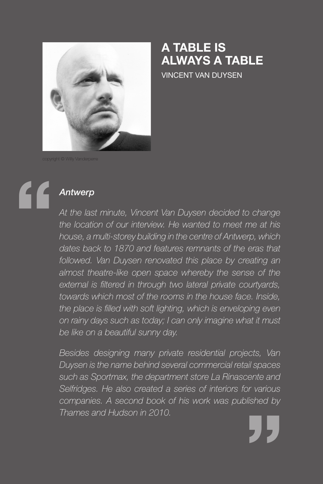

## **A Table Is Always a Table**

Vincent Van Duysen

# " *Antwerp*

*At the last minute, Vincent Van Duysen decided to change the location of our interview. He wanted to meet me at his house, a multi-storey building in the centre of Antwerp, which dates back to 1870 and features remnants of the eras that followed. Van Duysen renovated this place by creating an almost theatre-like open space whereby the sense of the external is filtered in through two lateral private courtyards, towards which most of the rooms in the house face. Inside, the place is filled with soft lighting, which is enveloping even on rainy days such as today; I can only imagine what it must be like on a beautiful sunny day.* 

*Besides designing many private residential projects, Van Duysen is the name behind several commercial retail spaces such as Sportmax, the department store La Rinascente and Selfridges. He also created a series of interiors for various companies. A second book of his work was published by Thames and Hudson in 2010.* 

"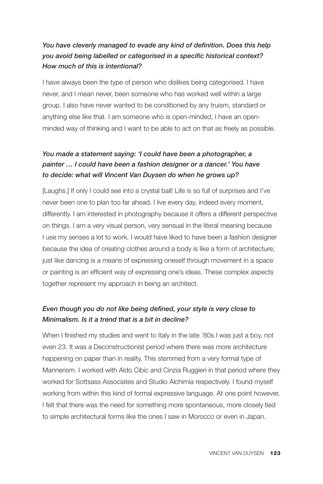## *You have cleverly managed to evade any kind of definition. Does this help you avoid being labelled or categorised in a specific historical context? How much of this is intentional?*

I have always been the type of person who dislikes being categorised. I have never, and I mean never, been someone who has worked well within a large group. I also have never wanted to be conditioned by any truism, standard or anything else like that. I am someone who is open-minded, I have an openminded way of thinking and I want to be able to act on that as freely as possible.

## *You made a statement saying: 'I could have been a photographer, a painter … I could have been a fashion designer or a dancer.' You have to decide: what will Vincent Van Duysen do when he grows up?*

[Laughs.] If only I could see into a crystal ball! Life is so full of surprises and I've never been one to plan too far ahead. I live every day, indeed every moment, differently. I am interested in photography because it offers a different perspective on things. I am a very visual person, very sensual in the literal meaning because I use my senses a lot to work. I would have liked to have been a fashion designer because the idea of creating clothes around a body is like a form of architecture; just like dancing is a means of expressing oneself through movement in a space or painting is an efficient way of expressing one's ideas. These complex aspects together represent my approach in being an architect.

## *Even though you do not like being defined, your style is very close to Minimalism. Is it a trend that is a bit in decline?*

When I finished my studies and went to Italy in the late '80s I was just a boy, not even 23. It was a Deconstructionist period where there was more architecture happening on paper than in reality. This stemmed from a very formal type of Mannerism. I worked with Aldo Cibic and Cinzia Ruggieri in that period where they worked for Sottsass Associates and Studio Alchimia respectively. I found myself working from within this kind of formal expressive language. At one point however, I felt that there was the need for something more spontaneous, more closely tied to simple architectural forms like the ones I saw in Morocco or even in Japan.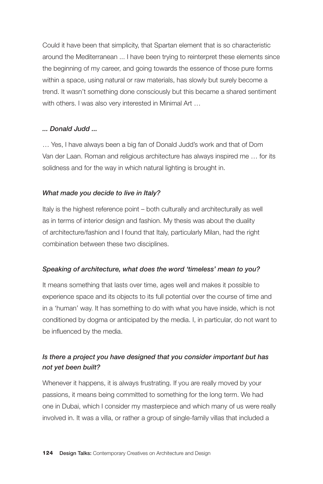Could it have been that simplicity, that Spartan element that is so characteristic around the Mediterranean ... I have been trying to reinterpret these elements since the beginning of my career, and going towards the essence of those pure forms within a space, using natural or raw materials, has slowly but surely become a trend. It wasn't something done consciously but this became a shared sentiment with others. I was also very interested in Minimal Art ...

#### *... Donald Judd ...*

… Yes, I have always been a big fan of Donald Judd's work and that of Dom Van der Laan. Roman and religious architecture has always inspired me … for its solidness and for the way in which natural lighting is brought in.

#### *What made you decide to live in Italy?*

Italy is the highest reference point – both culturally and architecturally as well as in terms of interior design and fashion. My thesis was about the duality of architecture/fashion and I found that Italy, particularly Milan, had the right combination between these two disciplines.

#### *Speaking of architecture, what does the word 'timeless' mean to you?*

It means something that lasts over time, ages well and makes it possible to experience space and its objects to its full potential over the course of time and in a 'human' way. It has something to do with what you have inside, which is not conditioned by dogma or anticipated by the media. I, in particular, do not want to be influenced by the media.

### *Is there a project you have designed that you consider important but has not yet been built?*

Whenever it happens, it is always frustrating. If you are really moved by your passions, it means being committed to something for the long term. We had one in Dubai, which I consider my masterpiece and which many of us were really involved in. It was a villa, or rather a group of single-family villas that included a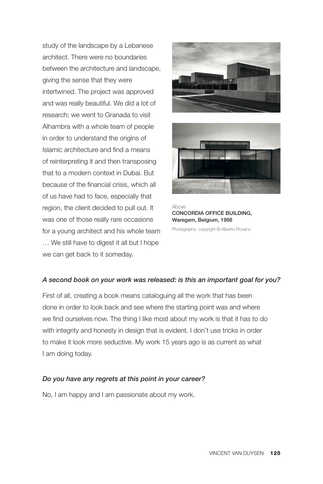study of the landscape by a Lebanese architect. There were no boundaries between the architecture and landscape, giving the sense that they were intertwined. The project was approved and was really beautiful. We did a lot of research; we went to Granada to visit Alhambra with a whole team of people in order to understand the origins of Islamic architecture and find a means of reinterpreting it and then transposing that to a modern context in Dubai. But because of the financial crisis, which all of us have had to face, especially that region, the client decided to pull out. It was one of those really rare occasions for a young architect and his whole team … We still have to digest it all but I hope we can get back to it someday.





Above Concordia Office Building, Waregem, Belgium, 1998

Photography: copyright © Alberto Piovano

#### *A second book on your work was released: is this an important goal for you?*

First of all, creating a book means cataloguing all the work that has been done in order to look back and see where the starting point was and where we find ourselves now. The thing I like most about my work is that it has to do with integrity and honesty in design that is evident. I don't use tricks in order to make it look more seductive. My work 15 years ago is as current as what I am doing today.

#### *Do you have any regrets at this point in your career?*

No, I am happy and I am passionate about my work.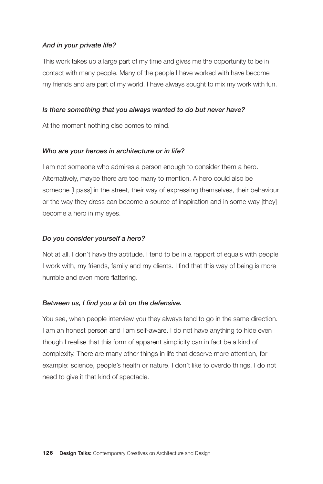#### *And in your private life?*

This work takes up a large part of my time and gives me the opportunity to be in contact with many people. Many of the people I have worked with have become my friends and are part of my world. I have always sought to mix my work with fun.

#### *Is there something that you always wanted to do but never have?*

At the moment nothing else comes to mind.

#### *Who are your heroes in architecture or in life?*

I am not someone who admires a person enough to consider them a hero. Alternatively, maybe there are too many to mention. A hero could also be someone [I pass] in the street, their way of expressing themselves, their behaviour or the way they dress can become a source of inspiration and in some way [they] become a hero in my eyes.

#### *Do you consider yourself a hero?*

Not at all. I don't have the aptitude. I tend to be in a rapport of equals with people I work with, my friends, family and my clients. I find that this way of being is more humble and even more flattering.

#### *Between us, I find you a bit on the defensive.*

You see, when people interview you they always tend to go in the same direction. I am an honest person and I am self-aware. I do not have anything to hide even though I realise that this form of apparent simplicity can in fact be a kind of complexity. There are many other things in life that deserve more attention, for example: science, people's health or nature. I don't like to overdo things. I do not need to give it that kind of spectacle.